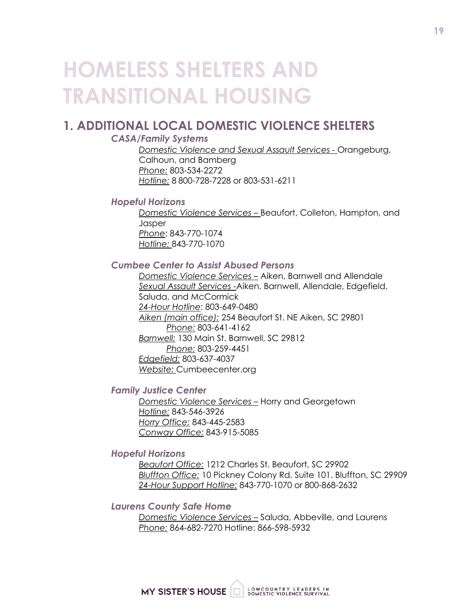# **HOMELESS SHELTERS AND TRANSITIONAL HOUSING**

# **1. ADDITIONAL LOCAL DOMESTIC VIOLENCE SHELTERS**

# *CASA/Family Systems*

*Domestic Violence and Sexual Assault Services -* Orangeburg, Calhoun, and Bamberg *Phone:* 803-534-2272 *Hotline:* 8 800-728-7228 or 803-531-6211

## *Hopeful Horizons*

*Domestic Violence Services –* Beaufort, Colleton, Hampton, and **Jasper** *Phone*: 843-770-1074 *Hotline:* 843-770-1070

# *Cumbee Center to Assist Abused Persons*

*Domestic Violence Services –* Aiken, Barnwell and Allendale *Sexual Assault Services -*Aiken, Barnwell, Allendale, Edgefield, Saluda, and McCormick *24-Hour Hotline*: 803-649-0480 *Aiken (main office):* 254 Beaufort St. NE Aiken, SC 29801 *Phone:* 803-641-4162 *Barnwell:* 130 Main St. Barnwell, SC 29812 *Phone:* 803-259-4451 *Edgefield:* 803-637-4037 *Website:* Cumbeecenter.org

## *Family Justice Center*

*Domestic Violence Services –* Horry and Georgetown *Hotline:* 843-546-3926 *Horry Office:* 843-445-2583 *Conway Office:* 843-915-5085

## *Hopeful Horizons*

*Beaufort Office:* 1212 Charles St. Beaufort, SC 29902 *Bluffton Office:* 10 Pickney Colony Rd. Suite 101. Bluffton, SC 29909 *24-Hour Support Hotline:* 843-770-1070 or 800-868-2632

### *Laurens County Safe Home*

*Domestic Violence Services –* Saluda, Abbeville, and Laurens *Phone:* 864-682-7270 Hotline: 866-598-5932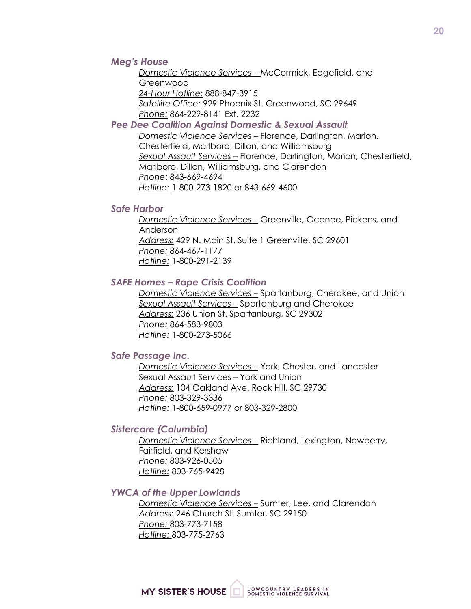### *Meg's House*

*Domestic Violence Services –* McCormick, Edgefield, and Greenwood *24-Hour Hotline:* 888-847-3915 *Satellite Office:* 929 Phoenix St. Greenwood, SC 29649 *Phone:* 864-229-8141 Ext. 2232

#### *Pee Dee Coalition Against Domestic & Sexual Assault*

*Domestic Violence Services –* Florence, Darlington, Marion, Chesterfield, Marlboro, Dillon, and Williamsburg *Sexual Assault Services –* Florence, Darlington, Marion, Chesterfield, Marlboro, Dillon, Williamsburg, and Clarendon *Phone*: 843-669-4694 *Hotline:* 1-800-273-1820 or 843-669-4600

#### *Safe Harbor*

*Domestic Violence Services –* Greenville, Oconee, Pickens, and Anderson *Address:* 429 N. Main St. Suite 1 Greenville, SC 29601 *Phone:* 864-467-1177 *Hotline:* 1-800-291-2139

#### *SAFE Homes – Rape Crisis Coalition*

*Domestic Violence Services –* Spartanburg, Cherokee, and Union *Sexual Assault Services –* Spartanburg and Cherokee *Address:* 236 Union St. Spartanburg, SC 29302 *Phone:* 864-583-9803 *Hotline:* 1-800-273-5066

### *Safe Passage Inc.*

*Domestic Violence Services –* York, Chester, and Lancaster Sexual Assault Services – York and Union *Address:* 104 Oakland Ave. Rock Hill, SC 29730 *Phone:* 803-329-3336 *Hotline:* 1-800-659-0977 or 803-329-2800

### *Sistercare (Columbia)*

*Domestic Violence Services –* Richland, Lexington, Newberry, Fairfield, and Kershaw *Phone:* 803-926-0505 *Hotline:* 803-765-9428

#### *YWCA of the Upper Lowlands*

*Domestic Violence Services –* Sumter, Lee, and Clarendon *Address:* 246 Church St. Sumter, SC 29150 *Phone:* 803-773-7158 *Hotline:* 803-775-2763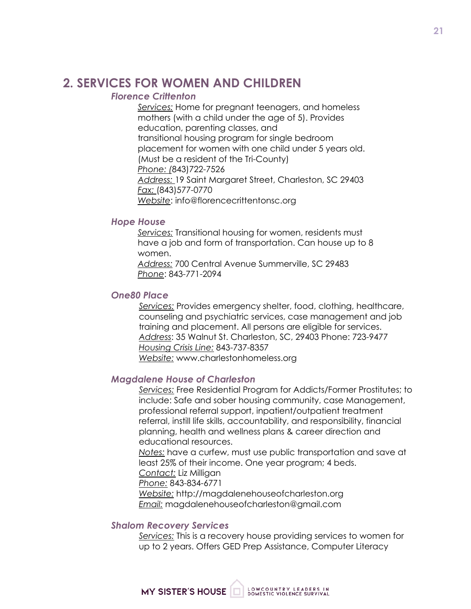# **2. SERVICES FOR WOMEN AND CHILDREN**

# *Florence Crittenton*

*Services:* Home for pregnant teenagers, and homeless mothers (with a child under the age of 5). Provides education, parenting classes, and transitional housing program for single bedroom placement for women with one child under 5 years old. (Must be a resident of the Tri-County) *Phone: (*843)722-7526 *Address:* 19 Saint Margaret Street, Charleston, SC 29403 *Fax:* (843)577-0770 *Website*: info@florencecrittentonsc.org

# *Hope House*

*Services:* Transitional housing for women, residents must have a job and form of transportation. Can house up to 8 women.

*Address:* 700 Central Avenue Summerville, SC 29483 *Phone*: 843-771-2094

### *One80 Place*

*Services:* Provides emergency shelter, food, clothing, healthcare, counseling and psychiatric services, case management and job training and placement. All persons are eligible for services. *Address*: 35 Walnut St. Charleston, SC, 29403 Phone: 723-9477 *Housing Crisis Line:* 843-737-8357 *Website:* www.charlestonhomeless.org

## *Magdalene House of Charleston*

*Services:* Free Residential Program for Addicts/Former Prostitutes; to include: Safe and sober housing community, case Management, professional referral support, inpatient/outpatient treatment referral, instill life skills, accountability, and responsibility, financial planning, health and wellness plans & career direction and educational resources.

*Notes:* have a curfew, must use public transportation and save at least 25% of their income. One year program; 4 beds. *Contact:* Liz Milligan

*Phone:* 843-834-6771

*Website:* http://magdalenehouseofcharleston.org *Email:* magdalenehouseofcharleston@gmail.com

### *Shalom Recovery Services*

*Services:* This is a recovery house providing services to women for up to 2 years. Offers GED Prep Assistance, Computer Literacy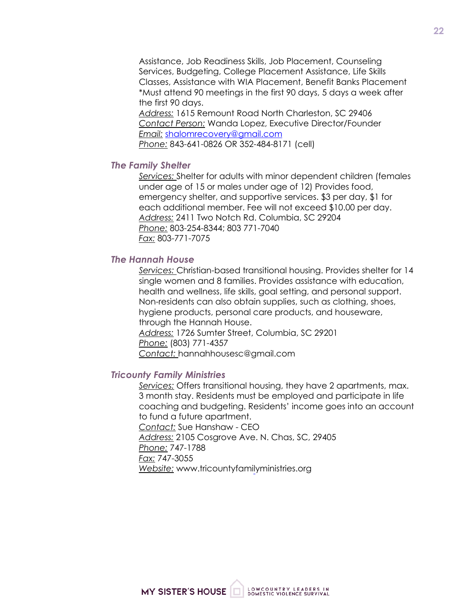Assistance, Job Readiness Skills, Job Placement, Counseling Services, Budgeting, College Placement Assistance, Life Skills Classes, Assistance with WIA Placement, Benefit Banks Placement \*Must attend 90 meetings in the first 90 days, 5 days a week after the first 90 days.

*Address:* 1615 Remount Road North Charleston, SC 29406 *Contact Person:* Wanda Lopez, Executive Director/Founder *Email:* shalomrecovery@gmail.com

*Phone:* 843-641-0826 OR 352-484-8171 (cell)

### *The Family Shelter*

*Services:* Shelter for adults with minor dependent children (females under age of 15 or males under age of 12) Provides food, emergency shelter, and supportive services. \$3 per day, \$1 for each additional member. Fee will not exceed \$10.00 per day. *Address:* 2411 Two Notch Rd. Columbia, SC 29204 *Phone:* 803-254-8344; 803 771-7040 *Fax:* 803-771-7075

### *The Hannah House*

*Services:* Christian-based transitional housing. Provides shelter for 14 single women and 8 families. Provides assistance with education, health and wellness, life skills, goal setting, and personal support. Non-residents can also obtain supplies, such as clothing, shoes, hygiene products, personal care products, and houseware, through the Hannah House. *Address:* 1726 Sumter Street, Columbia, SC 29201 *Phone:* (803) 771-4357 *Contact:* hannahhousesc@gmail.com

### *Tricounty Family Ministries*

*Services:* Offers transitional housing, they have 2 apartments, max. 3 month stay. Residents must be employed and participate in life coaching and budgeting. Residents' income goes into an account to fund a future apartment. *Contact:* Sue Hanshaw - CEO *Address:* 2105 Cosgrove Ave. N. Chas, SC, 29405 *Phone:* 747-1788 *Fax:* 747-3055 *Website:* www.tricountyfamilyministries.org